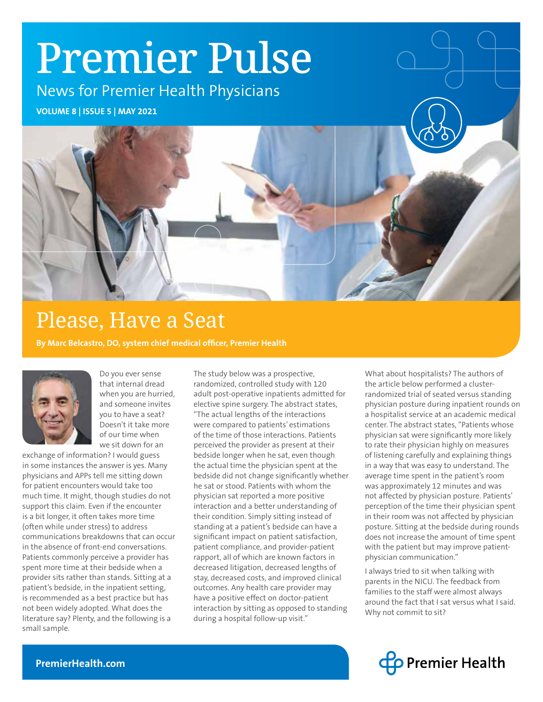# Premier Pulse

News for Premier Health Physicians

**VOLUME 8 | ISSUE 5 | MAY 2021**

## Please, Have a Seat

**By Marc Belcastro, DO, system chief medical officer, Premier Health**



Do you ever sense that internal dread when you are hurried, and someone invites you to have a seat? Doesn't it take more of our time when we sit down for an

exchange of information? I would guess in some instances the answer is yes. Many physicians and APPs tell me sitting down for patient encounters would take too much time. It might, though studies do not support this claim. Even if the encounter is a bit longer, it often takes more time (often while under stress) to address communications breakdowns that can occur in the absence of front-end conversations. Patients commonly perceive a provider has spent more time at their bedside when a provider sits rather than stands. Sitting at a patient's bedside, in the inpatient setting, is recommended as a best practice but has not been widely adopted. What does the literature say? Plenty, and the following is a small sample.

The study below was a prospective, randomized, controlled study with 120 adult post-operative inpatients admitted for elective spine surgery. The abstract states, "The actual lengths of the interactions were compared to patients' estimations of the time of those interactions. Patients perceived the provider as present at their bedside longer when he sat, even though the actual time the physician spent at the bedside did not change significantly whether he sat or stood. Patients with whom the physician sat reported a more positive interaction and a better understanding of their condition. Simply sitting instead of standing at a patient's bedside can have a significant impact on patient satisfaction, patient compliance, and provider-patient rapport, all of which are known factors in decreased litigation, decreased lengths of stay, decreased costs, and improved clinical outcomes. Any health care provider may have a positive effect on doctor-patient interaction by sitting as opposed to standing during a hospital follow-up visit."

What about hospitalists? The authors of the article below performed a clusterrandomized trial of seated versus standing physician posture during inpatient rounds on a hospitalist service at an academic medical center. The abstract states, "Patients whose physician sat were significantly more likely to rate their physician highly on measures of listening carefully and explaining things in a way that was easy to understand. The average time spent in the patient's room was approximately 12 minutes and was not affected by physician posture. Patients' perception of the time their physician spent in their room was not affected by physician posture. Sitting at the bedside during rounds does not increase the amount of time spent with the patient but may improve patientphysician communication."

I always tried to sit when talking with parents in the NICU. The feedback from families to the staff were almost always around the fact that I sat versus what I said. Why not commit to sit?

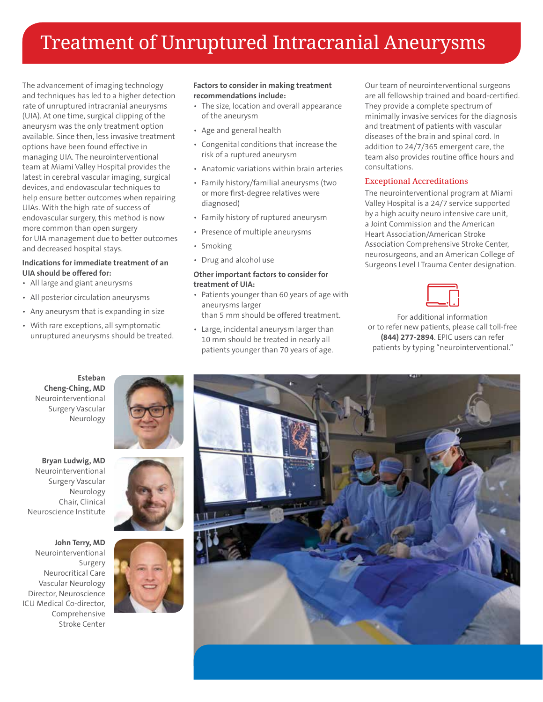## Treatment of Unruptured Intracranial Aneurysms

The advancement of imaging technology and techniques has led to a higher detection rate of unruptured intracranial aneurysms (UIA). At one time, surgical clipping of the aneurysm was the only treatment option available. Since then, less invasive treatment options have been found effective in managing UIA. The neurointerventional team at Miami Valley Hospital provides the latest in cerebral vascular imaging, surgical devices, and endovascular techniques to help ensure better outcomes when repairing UIAs. With the high rate of success of endovascular surgery, this method is now more common than open surgery for UIA management due to better outcomes and decreased hospital stays.

### **Indications for immediate treatment of an UIA should be offered for:**

- All large and giant aneurysms
- All posterior circulation aneurysms
- Any aneurysm that is expanding in size
- With rare exceptions, all symptomatic unruptured aneurysms should be treated.

### **Factors to consider in making treatment recommendations include:**

- The size, location and overall appearance of the aneurysm
- Age and general health
- Congenital conditions that increase the risk of a ruptured aneurysm
- Anatomic variations within brain arteries
- Family history/familial aneurysms (two or more first-degree relatives were diagnosed)
- Family history of ruptured aneurysm
- Presence of multiple aneurysms
- Smoking
- Drug and alcohol use

### **Other important factors to consider for treatment of UIA:**

- Patients younger than 60 years of age with aneurysms larger than 5 mm should be offered treatment.
- Large, incidental aneurysm larger than 10 mm should be treated in nearly all patients younger than 70 years of age.

Our team of neurointerventional surgeons are all fellowship trained and board-certified. They provide a complete spectrum of minimally invasive services for the diagnosis and treatment of patients with vascular diseases of the brain and spinal cord. In addition to 24/7/365 emergent care, the team also provides routine office hours and consultations.

### Exceptional Accreditations

The neurointerventional program at Miami Valley Hospital is a 24/7 service supported by a high acuity neuro intensive care unit, a Joint Commission and the American Heart Association/American Stroke Association Comprehensive Stroke Center, neurosurgeons, and an American College of Surgeons Level I Trauma Center designation.



For additional information or to refer new patients, please call toll-free **(844) 277-2894**. EPIC users can refer patients by typing "neurointerventional."

**Esteban Cheng-Ching, MD**  Neurointerventional Surgery Vascular Neurology

**Bryan Ludwig, MD**  Neurointerventional Surgery Vascular Neurology Chair, Clinical Neuroscience Institute

**John Terry, MD**  Neurointerventional Surgery Neurocritical Care Vascular Neurology Director, Neuroscience ICU Medical Co-director, Comprehensive Stroke Center





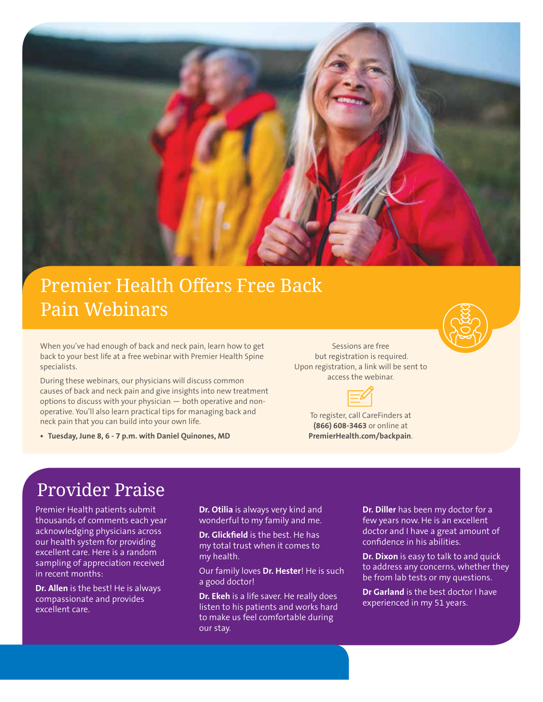

## Premier Health Offers Free Back Pain Webinars

When you've had enough of back and neck pain, learn how to get back to your best life at a free webinar with Premier Health Spine specialists.

During these webinars, our physicians will discuss common causes of back and neck pain and give insights into new treatment options to discuss with your physician — both operative and nonoperative. You'll also learn practical tips for managing back and neck pain that you can build into your own life.

**• Tuesday, June 8, 6 - 7 p.m. with Daniel Quinones, MD**



Sessions are free but registration is required. Upon registration, a link will be sent to access the webinar.



To register, call CareFinders at **(866) 608-3463** or online at **PremierHealth.com/backpain**.

## Provider Praise

Premier Health patients submit thousands of comments each year acknowledging physicians across our health system for providing excellent care. Here is a random sampling of appreciation received in recent months:

**Dr. Allen** is the best! He is always compassionate and provides excellent care.

**Dr. Otilia** is always very kind and wonderful to my family and me.

**Dr. Glickfield** is the best. He has my total trust when it comes to my health.

Our family loves **Dr. Hester**! He is such a good doctor!

**Dr. Ekeh** is a life saver. He really does listen to his patients and works hard to make us feel comfortable during our stay.

**Dr. Diller** has been my doctor for a few years now. He is an excellent doctor and I have a great amount of confidence in his abilities.

**Dr. Dixon** is easy to talk to and quick to address any concerns, whether they be from lab tests or my questions.

**Dr Garland** is the best doctor I have experienced in my 51 years.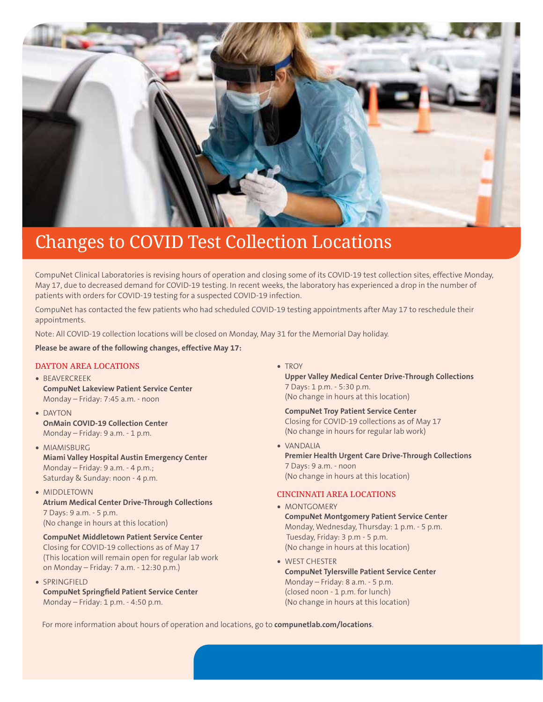

## Changes to COVID Test Collection Locations

CompuNet Clinical Laboratories is revising hours of operation and closing some of its COVID-19 test collection sites, effective Monday, May 17, due to decreased demand for COVID-19 testing. In recent weeks, the laboratory has experienced a drop in the number of patients with orders for COVID-19 testing for a suspected COVID-19 infection.

CompuNet has contacted the few patients who had scheduled COVID-19 testing appointments after May 17 to reschedule their appointments.

Note: All COVID-19 collection locations will be closed on Monday, May 31 for the Memorial Day holiday.

**Please be aware of the following changes, effective May 17:**

### DAYTON AREA LOCATIONS

- BEAVERCREEK **CompuNet Lakeview Patient Service Center** Monday – Friday: 7:45 a.m. - noon
- DAYTON **OnMain COVID-19 Collection Center** Monday – Friday: 9 a.m. - 1 p.m.
- MIAMISBURG **Miami Valley Hospital Austin Emergency Center** Monday – Friday: 9 a.m. - 4 p.m.; Saturday & Sunday: noon - 4 p.m.
- MIDDLETOWN **Atrium Medical Center Drive-Through Collections** 7 Days: 9 a.m. - 5 p.m. (No change in hours at this location)
	- **CompuNet Middletown Patient Service Center** Closing for COVID-19 collections as of May 17 (This location will remain open for regular lab work on Monday – Friday: 7 a.m. - 12:30 p.m.)
- SPRINGFIELD **CompuNet Springfield Patient Service Center**  Monday – Friday: 1 p.m. - 4:50 p.m.

• TROY

**Upper Valley Medical Center Drive-Through Collections** 7 Days: 1 p.m. - 5:30 p.m. (No change in hours at this location)

**CompuNet Troy Patient Service Center**  Closing for COVID-19 collections as of May 17 (No change in hours for regular lab work)

• VANDALIA **Premier Health Urgent Care Drive-Through Collections** 7 Days: 9 a.m. - noon (No change in hours at this location)

### CINCINNATI AREA LOCATIONS

- MONTGOMERY **CompuNet Montgomery Patient Service Center** Monday, Wednesday, Thursday: 1 p.m. - 5 p.m. Tuesday, Friday: 3 p.m - 5 p.m. (No change in hours at this location)
- WEST CHESTER **CompuNet Tylersville Patient Service Center** Monday – Friday: 8 a.m. - 5 p.m. (closed noon - 1 p.m. for lunch) (No change in hours at this location)

For more information about hours of operation and locations, go to **compunetlab.com/locations**.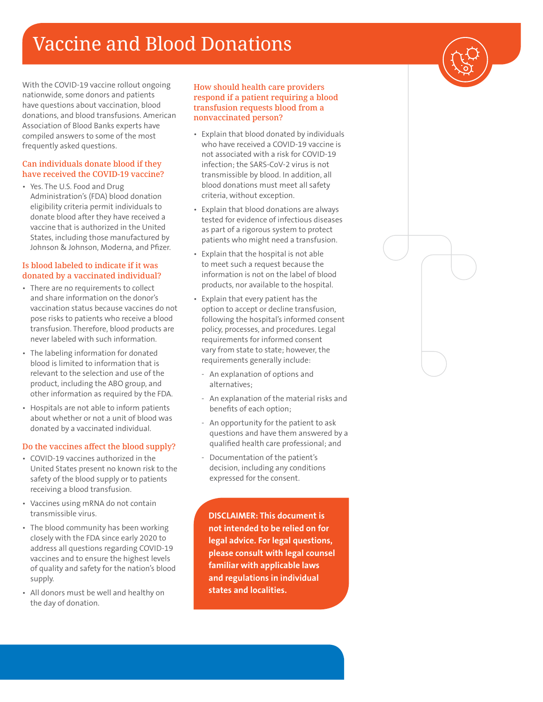## Vaccine and Blood Donations

With the COVID-19 vaccine rollout ongoing nationwide, some donors and patients have questions about vaccination, blood donations, and blood transfusions. American Association of Blood Banks experts have compiled answers to some of the most frequently asked questions.

### Can individuals donate blood if they have received the COVID-19 vaccine?

• Yes. The U.S. Food and Drug Administration's (FDA) blood donation eligibility criteria permit individuals to donate blood after they have received a vaccine that is authorized in the United States, including those manufactured by Johnson & Johnson, Moderna, and Pfizer.

### Is blood labeled to indicate if it was donated by a vaccinated individual?

- There are no requirements to collect and share information on the donor's vaccination status because vaccines do not pose risks to patients who receive a blood transfusion. Therefore, blood products are never labeled with such information.
- The labeling information for donated blood is limited to information that is relevant to the selection and use of the product, including the ABO group, and other information as required by the FDA.
- Hospitals are not able to inform patients about whether or not a unit of blood was donated by a vaccinated individual.

### Do the vaccines affect the blood supply?

- COVID-19 vaccines authorized in the United States present no known risk to the safety of the blood supply or to patients receiving a blood transfusion.
- Vaccines using mRNA do not contain transmissible virus.
- The blood community has been working closely with the FDA since early 2020 to address all questions regarding COVID-19 vaccines and to ensure the highest levels of quality and safety for the nation's blood supply.
- All donors must be well and healthy on the day of donation.

### How should health care providers respond if a patient requiring a blood transfusion requests blood from a nonvaccinated person?

- Explain that blood donated by individuals who have received a COVID-19 vaccine is not associated with a risk for COVID-19 infection; the SARS-CoV-2 virus is not transmissible by blood. In addition, all blood donations must meet all safety criteria, without exception.
- Explain that blood donations are always tested for evidence of infectious diseases as part of a rigorous system to protect patients who might need a transfusion.
- Explain that the hospital is not able to meet such a request because the information is not on the label of blood products, nor available to the hospital.
- Explain that every patient has the option to accept or decline transfusion, following the hospital's informed consent policy, processes, and procedures. Legal requirements for informed consent vary from state to state; however, the requirements generally include:
	- An explanation of options and alternatives;
	- An explanation of the material risks and benefits of each option;
	- An opportunity for the patient to ask questions and have them answered by a qualified health care professional; and
	- Documentation of the patient's decision, including any conditions expressed for the consent.

**DISCLAIMER: This document is not intended to be relied on for legal advice. For legal questions, please consult with legal counsel familiar with applicable laws and regulations in individual states and localities.**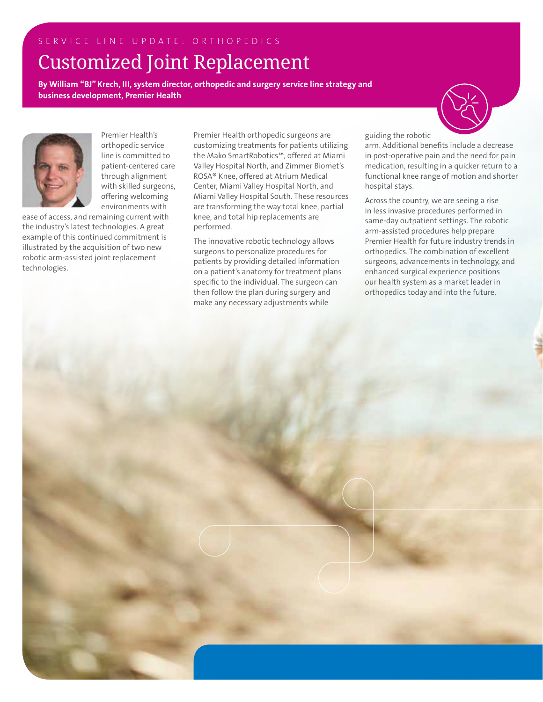## Customized Joint Replacement

**By William "BJ" Krech, III, system director, orthopedic and surgery service line strategy and business development, Premier Health**



Premier Health's orthopedic service line is committed to patient-centered care through alignment with skilled surgeons, offering welcoming environments with

ease of access, and remaining current with the industry's latest technologies. A great example of this continued commitment is illustrated by the acquisition of two new robotic arm-assisted joint replacement technologies.

Premier Health orthopedic surgeons are customizing treatments for patients utilizing the Mako SmartRobotics™, offered at Miami Valley Hospital North, and Zimmer Biomet's ROSA® Knee, offered at Atrium Medical Center, Miami Valley Hospital North, and Miami Valley Hospital South. These resources are transforming the way total knee, partial knee, and total hip replacements are performed.

The innovative robotic technology allows surgeons to personalize procedures for patients by providing detailed information on a patient's anatomy for treatment plans specific to the individual. The surgeon can then follow the plan during surgery and make any necessary adjustments while

guiding the robotic

arm. Additional benefits include a decrease in post-operative pain and the need for pain medication, resulting in a quicker return to a functional knee range of motion and shorter hospital stays.

Across the country, we are seeing a rise in less invasive procedures performed in same-day outpatient settings. The robotic arm-assisted procedures help prepare Premier Health for future industry trends in orthopedics. The combination of excellent surgeons, advancements in technology, and enhanced surgical experience positions our health system as a market leader in orthopedics today and into the future.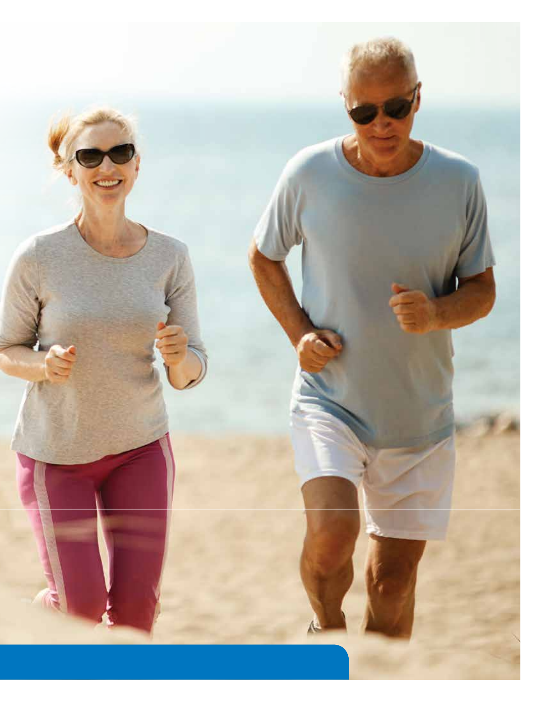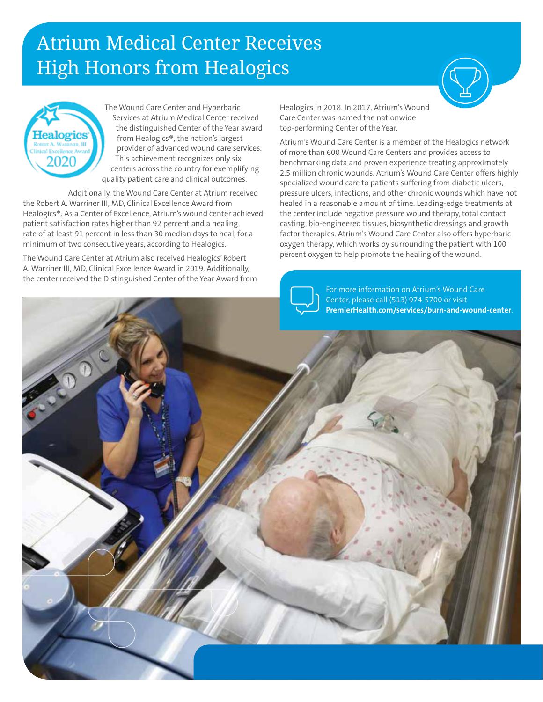## Atrium Medical Center Receives High Honors from Healogics





The Wound Care Center and Hyperbaric Services at Atrium Medical Center received the distinguished Center of the Year award from Healogics®, the nation's largest provider of advanced wound care services. This achievement recognizes only six centers across the country for exemplifying quality patient care and clinical outcomes.

Additionally, the Wound Care Center at Atrium received the Robert A. Warriner III, MD, Clinical Excellence Award from Healogics®. As a Center of Excellence, Atrium's wound center achieved patient satisfaction rates higher than 92 percent and a healing rate of at least 91 percent in less than 30 median days to heal, for a minimum of two consecutive years, according to Healogics.

The Wound Care Center at Atrium also received Healogics' Robert A. Warriner III, MD, Clinical Excellence Award in 2019. Additionally, the center received the Distinguished Center of the Year Award from Healogics in 2018. In 2017, Atrium's Wound Care Center was named the nationwide top-performing Center of the Year.

Atrium's Wound Care Center is a member of the Healogics network of more than 600 Wound Care Centers and provides access to benchmarking data and proven experience treating approximately 2.5 million chronic wounds. Atrium's Wound Care Center offers highly specialized wound care to patients suffering from diabetic ulcers, pressure ulcers, infections, and other chronic wounds which have not healed in a reasonable amount of time. Leading-edge treatments at the center include negative pressure wound therapy, total contact casting, bio-engineered tissues, biosynthetic dressings and growth factor therapies. Atrium's Wound Care Center also offers hyperbaric oxygen therapy, which works by surrounding the patient with 100 percent oxygen to help promote the healing of the wound.



For more information on Atrium's Wound Care Center, please call (513) 974-5700 or visit **PremierHealth.com/services/burn-and-wound-center**.

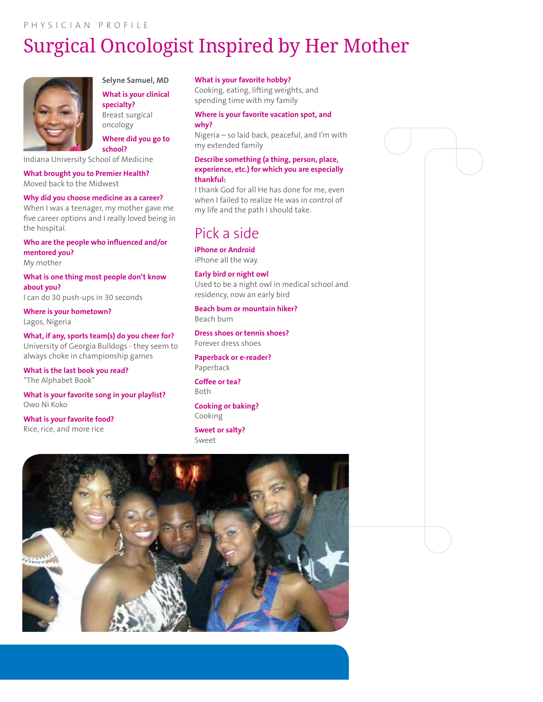## Surgical Oncologist Inspired by Her Mother



**Selyne Samuel, MD What is your clinical specialty?**

oncology **Where did you go to school?** 

Breast surgical

Indiana University School of Medicine

**What brought you to Premier Health?**  Moved back to the Midwest

### **Why did you choose medicine as a career?**

When I was a teenager, my mother gave me five career options and I really loved being in the hospital.

### **Who are the people who influenced and/or mentored you?**  My mother

**What is one thing most people don't know about you?**  I can do 30 push-ups in 30 seconds

**Where is your hometown?** 

Lagos, Nigeria

**What, if any, sports team(s) do you cheer for?**  University of Georgia Bulldogs - they seem to always choke in championship games

**What is the last book you read?**  "The Alphabet Book"

**What is your favorite song in your playlist?**  Owo Ni Koko

**What is your favorite food?**  Rice, rice, and more rice

### **What is your favorite hobby?**

Cooking, eating, lifting weights, and spending time with my family

### **Where is your favorite vacation spot, and why?**

Nigeria – so laid back, peaceful, and I'm with my extended family

### **Describe something (a thing, person, place, experience, etc.) for which you are especially thankful:**

I thank God for all He has done for me, even when I failed to realize He was in control of my life and the path I should take.

### Pick a side

**iPhone or Android** iPhone all the way.

### **Early bird or night owl**

Used to be a night owl in medical school and residency, now an early bird

#### **Beach bum or mountain hiker?**  Beach bum

**Dress shoes or tennis shoes?**  Forever dress shoes

**Paperback or e-reader?**  Paperback

**Coffee or tea?**  Both

**Cooking or baking?**  Cooking

**Sweet or salty?**  Sweet

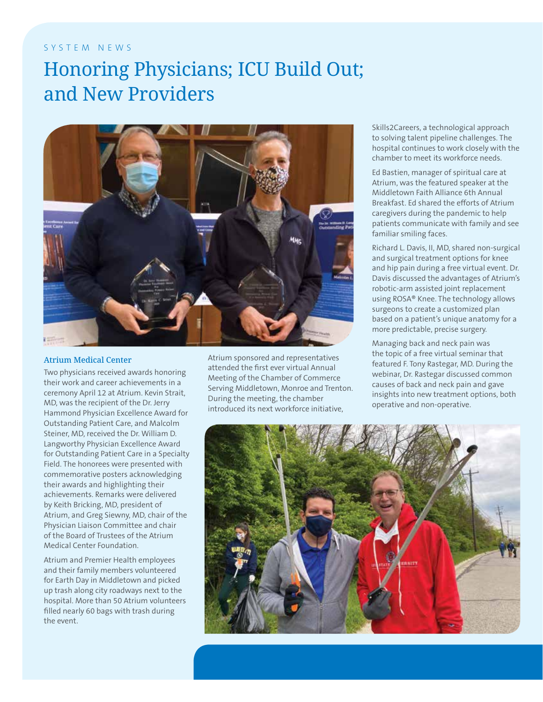### SYSTEM NEWS

## Honoring Physicians; ICU Build Out; and New Providers



### Atrium Medical Center

Two physicians received awards honoring their work and career achievements in a ceremony April 12 at Atrium. Kevin Strait, MD, was the recipient of the Dr. Jerry Hammond Physician Excellence Award for Outstanding Patient Care, and Malcolm Steiner, MD, received the Dr. William D. Langworthy Physician Excellence Award for Outstanding Patient Care in a Specialty Field. The honorees were presented with commemorative posters acknowledging their awards and highlighting their achievements. Remarks were delivered by Keith Bricking, MD, president of Atrium, and Greg Siewny, MD, chair of the Physician Liaison Committee and chair of the Board of Trustees of the Atrium Medical Center Foundation.

Atrium and Premier Health employees and their family members volunteered for Earth Day in Middletown and picked up trash along city roadways next to the hospital. More than 50 Atrium volunteers filled nearly 60 bags with trash during the event.

Atrium sponsored and representatives attended the first ever virtual Annual Meeting of the Chamber of Commerce Serving Middletown, Monroe and Trenton. During the meeting, the chamber introduced its next workforce initiative,

Skills2Careers, a technological approach to solving talent pipeline challenges. The hospital continues to work closely with the chamber to meet its workforce needs.

Ed Bastien, manager of spiritual care at Atrium, was the featured speaker at the Middletown Faith Alliance 6th Annual Breakfast. Ed shared the efforts of Atrium caregivers during the pandemic to help patients communicate with family and see familiar smiling faces.

Richard L. Davis, II, MD, shared non-surgical and surgical treatment options for knee and hip pain during a free virtual event. Dr. Davis discussed the advantages of Atrium's robotic-arm assisted joint replacement using ROSA® Knee. The technology allows surgeons to create a customized plan based on a patient's unique anatomy for a more predictable, precise surgery.

Managing back and neck pain was the topic of a free virtual seminar that featured F. Tony Rastegar, MD. During the webinar, Dr. Rastegar discussed common causes of back and neck pain and gave insights into new treatment options, both operative and non-operative.

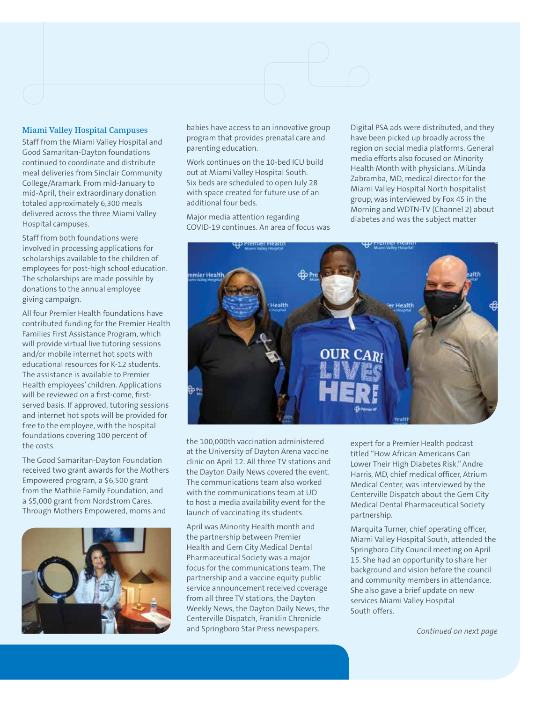### Miami Valley Hospital Campuses

Staff from the Miami Valley Hospital and Good Samaritan-Dayton foundations continued to coordinate and distribute meal deliveries from Sinclair Community College/Aramark. From mid-January to mid-April, their extraordinary donation totaled approximately 6,300 meals delivered across the three Miami Valley Hospital campuses.

Staff from both foundations were involved in processing applications for scholarships available to the children of employees for post-high school education. The scholarships are made possible by donations to the annual employee giving campaign.

All four Premier Health foundations have contributed funding for the Premier Health Families First Assistance Program, which will provide virtual live tutoring sessions and/or mobile internet hot spots with educational resources for K-12 students. The assistance is available to Premier Health employees' children. Applications will be reviewed on a first-come, firstserved basis. If approved, tutoring sessions and internet hot spots will be provided for free to the employee, with the hospital foundations covering 100 percent of the costs.

The Good Samaritan-Dayton Foundation received two grant awards for the Mothers Empowered program, a \$6,500 grant from the Mathile Family Foundation, and a \$5,000 grant from Nordstrom Cares. Through Mothers Empowered, moms and



babies have access to an innovative group program that provides prenatal care and parenting education.

Work continues on the 10-bed ICU build out at Miami Valley Hospital South. Six beds are scheduled to open July 28 with space created for future use of an additional four beds.

Major media attention regarding COVID-19 continues. An area of focus was

Digital PSA ads were distributed, and they have been picked up broadly across the region on social media platforms. General media efforts also focused on Minority Health Month with physicians. MiLinda Zabramba, MD, medical director for the Miami Valley Hospital North hospitalist group, was interviewed by Fox 45 in the Morning and WDTN-TV (Channel 2) about diabetes and was the subject matter



the 100,000th vaccination administered at the University of Dayton Arena vaccine clinic on April 12. All three TV stations and the Dayton Daily News covered the event. The communications team also worked with the communications team at UD to host a media availability event for the launch of vaccinating its students.

April was Minority Health month and the partnership between Premier Health and Gem City Medical Dental Pharmaceutical Society was a major focus for the communications team. The partnership and a vaccine equity public service announcement received coverage from all three TV stations, the Dayton Weekly News, the Dayton Daily News, the Centerville Dispatch, Franklin Chronicle and Springboro Star Press newspapers.

expert for a Premier Health podcast titled "How African Americans Can Lower Their High Diabetes Risk." Andre Harris, MD, chief medical officer, Atrium Medical Center, was interviewed by the Centerville Dispatch about the Gem City Medical Dental Pharmaceutical Society partnership.

Marquita Turner, chief operating officer, Miami Valley Hospital South, attended the Springboro City Council meeting on April 15. She had an opportunity to share her background and vision before the council and community members in attendance. She also gave a brief update on new services Miami Valley Hospital South offers.

*Continued on next page*